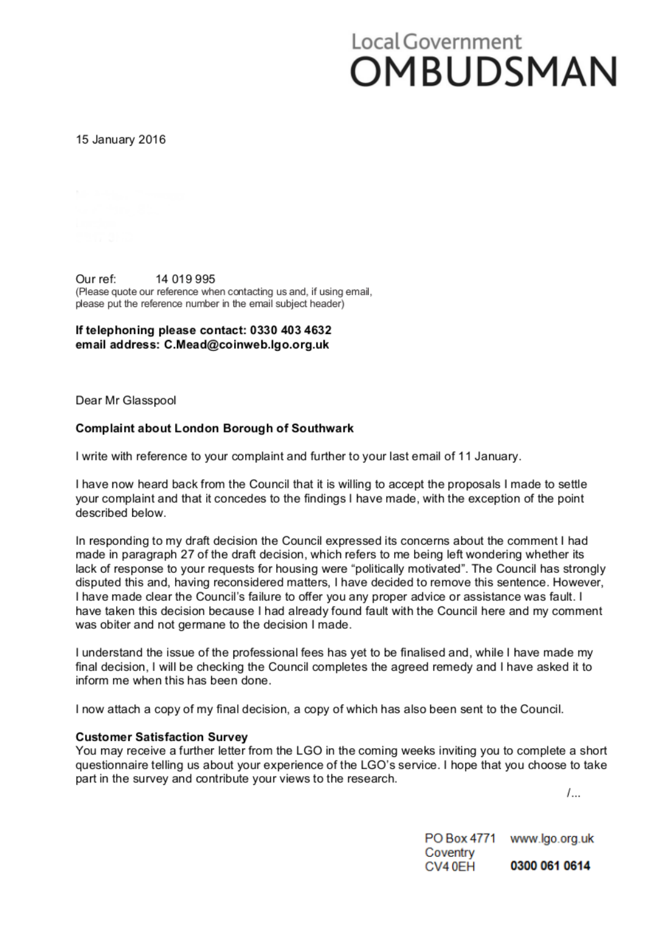# Local Government OMBUDSMAN

15 January 2016

14 019 995 Our ref: (Please quote our reference when contacting us and, if using email, please put the reference number in the email subject header)

#### If telephoning please contact: 0330 403 4632 email address: C.Mead@coinweb.lgo.org.uk

Dear Mr Glasspool

#### **Complaint about London Borough of Southwark**

I write with reference to your complaint and further to your last email of 11 January.

I have now heard back from the Council that it is willing to accept the proposals I made to settle your complaint and that it concedes to the findings I have made, with the exception of the point described below.

In responding to my draft decision the Council expressed its concerns about the comment I had made in paragraph 27 of the draft decision, which refers to me being left wondering whether its lack of response to your requests for housing were "politically motivated". The Council has strongly disputed this and, having reconsidered matters, I have decided to remove this sentence. However, I have made clear the Council's failure to offer you any proper advice or assistance was fault. I have taken this decision because I had already found fault with the Council here and my comment was obiter and not germane to the decision I made.

I understand the issue of the professional fees has yet to be finalised and, while I have made my final decision, I will be checking the Council completes the agreed remedy and I have asked it to inform me when this has been done.

I now attach a copy of my final decision, a copy of which has also been sent to the Council.

#### **Customer Satisfaction Survey**

You may receive a further letter from the LGO in the coming weeks inviting you to complete a short questionnaire telling us about your experience of the LGO's service. I hope that you choose to take part in the survey and contribute your views to the research.

 $1...$ 

PO Box 4771 www.lgo.org.uk Coventry CV40EH 0300 061 0614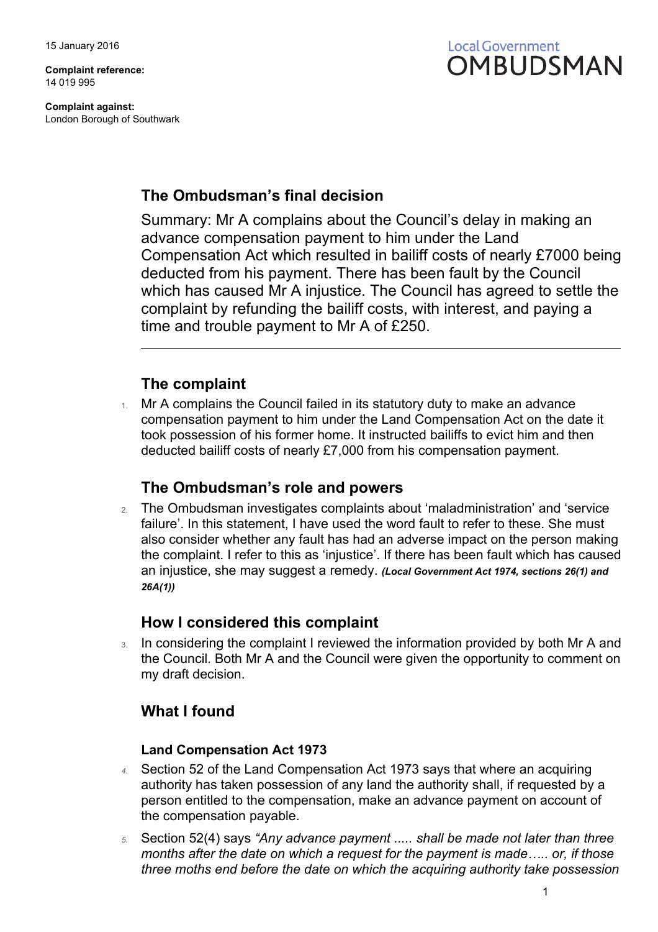**Complaint reference:** 14 019 995

**Complaint against:** London Borough of Southwark



## **The Ombudsman's final decision**

Summary: Mr A complains about the Council's delay in making an advance compensation payment to him under the Land Compensation Act which resulted in bailiff costs of nearly £7000 being deducted from his payment. There has been fault by the Council which has caused Mr A injustice. The Council has agreed to settle the complaint by refunding the bailiff costs, with interest, and paying a time and trouble payment to Mr A of £250.

## **The complaint**

1. Mr A complains the Council failed in its statutory duty to make an advance compensation payment to him under the Land Compensation Act on the date it took possession of his former home. It instructed bailiffs to evict him and then deducted bailiff costs of nearly £7,000 from his compensation payment.

## **The Ombudsman's role and powers**

2. The Ombudsman investigates complaints about 'maladministration' and 'service failure'. In this statement, I have used the word fault to refer to these. She must also consider whether any fault has had an adverse impact on the person making the complaint. I refer to this as 'injustice'. If there has been fault which has caused an injustice, she may suggest a remedy. *(Local Government Act 1974, sections 26(1) and 26A(1))*

## **How I considered this complaint**

3. In considering the complaint I reviewed the information provided by both Mr A and the Council. Both Mr A and the Council were given the opportunity to comment on my draft decision.

## **What I found**

#### **Land Compensation Act 1973**

- *4.* Section 52 of the Land Compensation Act 1973 says that where an acquiring authority has taken possession of any land the authority shall, if requested by a person entitled to the compensation, make an advance payment on account of the compensation payable.
- *5.* Section 52(4) says *"Any advance payment ..... shall be made not later than three months after the date on which a request for the payment is made….. or, if those three moths end before the date on which the acquiring authority take possession*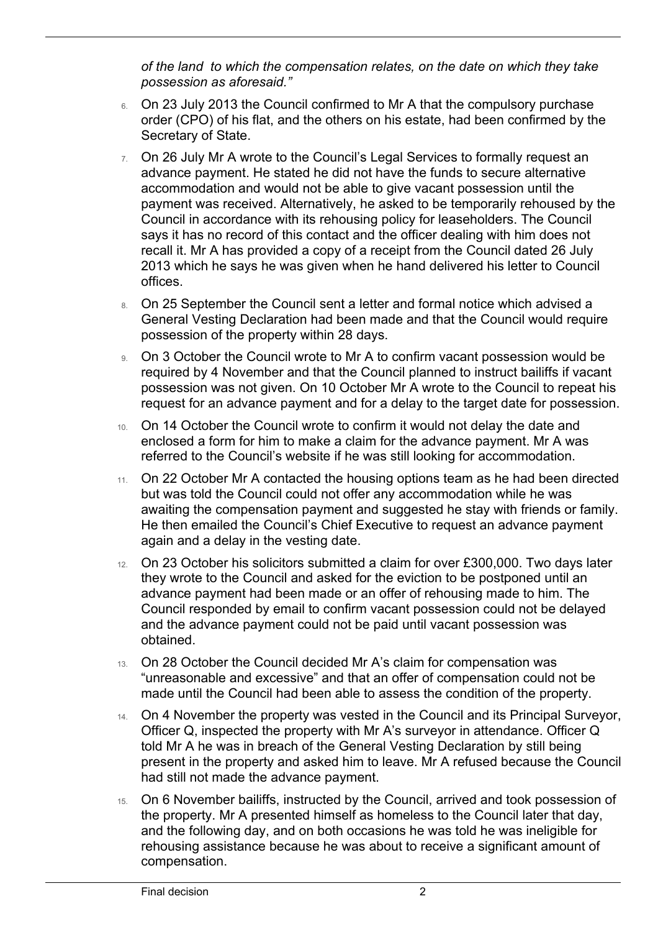*of the land to which the compensation relates, on the date on which they take possession as aforesaid."*

- 6. On 23 July 2013 the Council confirmed to Mr A that the compulsory purchase order (CPO) of his flat, and the others on his estate, had been confirmed by the Secretary of State.
- 7. On 26 July Mr A wrote to the Council's Legal Services to formally request an advance payment. He stated he did not have the funds to secure alternative accommodation and would not be able to give vacant possession until the payment was received. Alternatively, he asked to be temporarily rehoused by the Council in accordance with its rehousing policy for leaseholders. The Council says it has no record of this contact and the officer dealing with him does not recall it. Mr A has provided a copy of a receipt from the Council dated 26 July 2013 which he says he was given when he hand delivered his letter to Council offices.
- 8. On 25 September the Council sent a letter and formal notice which advised a General Vesting Declaration had been made and that the Council would require possession of the property within 28 days.
- 9. On 3 October the Council wrote to Mr A to confirm vacant possession would be required by 4 November and that the Council planned to instruct bailiffs if vacant possession was not given. On 10 October Mr A wrote to the Council to repeat his request for an advance payment and for a delay to the target date for possession.
- 10. On 14 October the Council wrote to confirm it would not delay the date and enclosed a form for him to make a claim for the advance payment. Mr A was referred to the Council's website if he was still looking for accommodation.
- 11. On 22 October Mr A contacted the housing options team as he had been directed but was told the Council could not offer any accommodation while he was awaiting the compensation payment and suggested he stay with friends or family. He then emailed the Council's Chief Executive to request an advance payment again and a delay in the vesting date.
- 12. On 23 October his solicitors submitted a claim for over £300,000. Two days later they wrote to the Council and asked for the eviction to be postponed until an advance payment had been made or an offer of rehousing made to him. The Council responded by email to confirm vacant possession could not be delayed and the advance payment could not be paid until vacant possession was obtained.
- 13. On 28 October the Council decided Mr A's claim for compensation was "unreasonable and excessive" and that an offer of compensation could not be made until the Council had been able to assess the condition of the property.
- 14. On 4 November the property was vested in the Council and its Principal Surveyor, Officer Q, inspected the property with Mr A's surveyor in attendance. Officer Q told Mr A he was in breach of the General Vesting Declaration by still being present in the property and asked him to leave. Mr A refused because the Council had still not made the advance payment.
- 15. On 6 November bailiffs, instructed by the Council, arrived and took possession of the property. Mr A presented himself as homeless to the Council later that day, and the following day, and on both occasions he was told he was ineligible for rehousing assistance because he was about to receive a significant amount of compensation.

 $\overline{a}$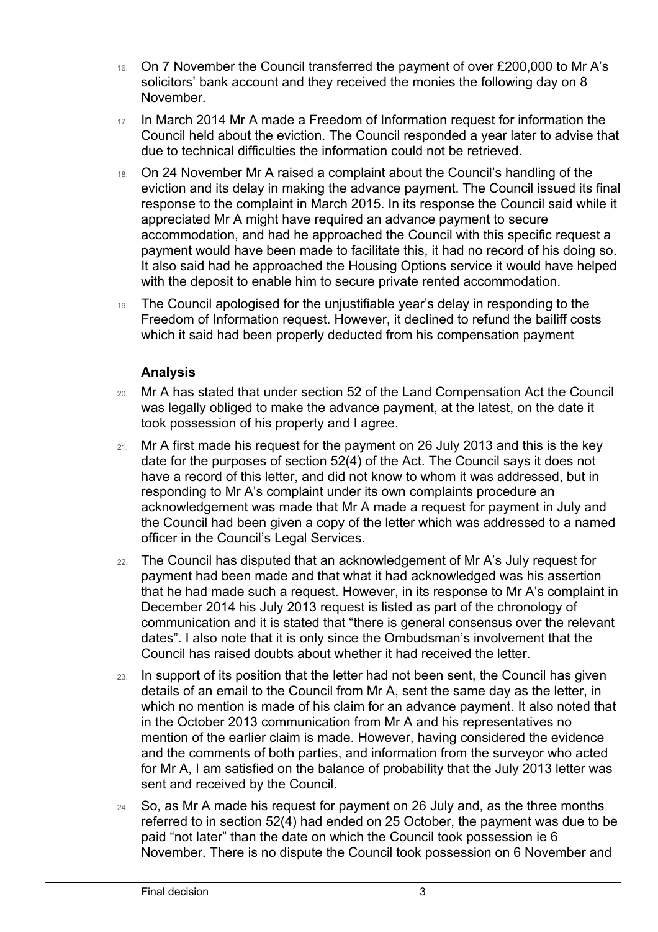- 16. On 7 November the Council transferred the payment of over £200,000 to Mr A's solicitors' bank account and they received the monies the following day on 8 November.
- 17. In March 2014 Mr A made a Freedom of Information request for information the Council held about the eviction. The Council responded a year later to advise that due to technical difficulties the information could not be retrieved.
- 18. On 24 November Mr A raised a complaint about the Council's handling of the eviction and its delay in making the advance payment. The Council issued its final response to the complaint in March 2015. In its response the Council said while it appreciated Mr A might have required an advance payment to secure accommodation, and had he approached the Council with this specific request a payment would have been made to facilitate this, it had no record of his doing so. It also said had he approached the Housing Options service it would have helped with the deposit to enable him to secure private rented accommodation.
- 19. The Council apologised for the unjustifiable year's delay in responding to the Freedom of Information request. However, it declined to refund the bailiff costs which it said had been properly deducted from his compensation payment

#### **Analysis**

 $\overline{a}$ 

- 20. Mr A has stated that under section 52 of the Land Compensation Act the Council was legally obliged to make the advance payment, at the latest, on the date it took possession of his property and I agree.
- 21. Mr A first made his request for the payment on 26 July 2013 and this is the key date for the purposes of section 52(4) of the Act. The Council says it does not have a record of this letter, and did not know to whom it was addressed, but in responding to Mr A's complaint under its own complaints procedure an acknowledgement was made that Mr A made a request for payment in July and the Council had been given a copy of the letter which was addressed to a named officer in the Council's Legal Services.
- 22. The Council has disputed that an acknowledgement of Mr A's July request for payment had been made and that what it had acknowledged was his assertion that he had made such a request. However, in its response to Mr A's complaint in December 2014 his July 2013 request is listed as part of the chronology of communication and it is stated that "there is general consensus over the relevant dates". I also note that it is only since the Ombudsman's involvement that the Council has raised doubts about whether it had received the letter.
- 23. In support of its position that the letter had not been sent, the Council has given details of an email to the Council from Mr A, sent the same day as the letter, in which no mention is made of his claim for an advance payment. It also noted that in the October 2013 communication from Mr A and his representatives no mention of the earlier claim is made. However, having considered the evidence and the comments of both parties, and information from the surveyor who acted for Mr A, I am satisfied on the balance of probability that the July 2013 letter was sent and received by the Council.
- 24. So, as Mr A made his request for payment on 26 July and, as the three months referred to in section 52(4) had ended on 25 October, the payment was due to be paid "not later" than the date on which the Council took possession ie 6 November. There is no dispute the Council took possession on 6 November and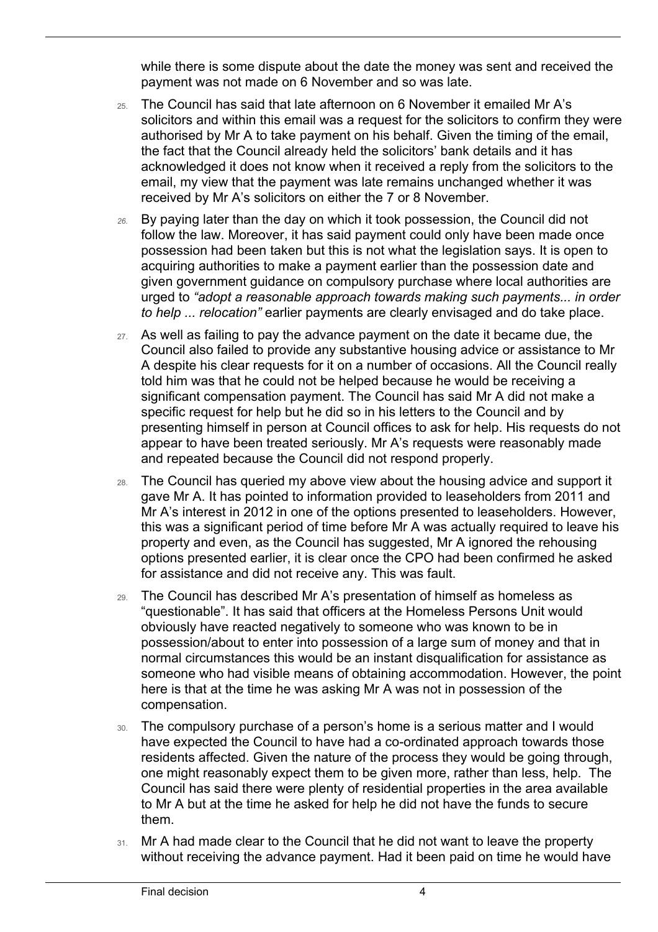while there is some dispute about the date the money was sent and received the payment was not made on 6 November and so was late.

- 25. The Council has said that late afternoon on 6 November it emailed Mr A's solicitors and within this email was a request for the solicitors to confirm they were authorised by Mr A to take payment on his behalf. Given the timing of the email, the fact that the Council already held the solicitors' bank details and it has acknowledged it does not know when it received a reply from the solicitors to the email, my view that the payment was late remains unchanged whether it was received by Mr A's solicitors on either the 7 or 8 November.
- *26.* By paying later than the day on which it took possession, the Council did not follow the law. Moreover, it has said payment could only have been made once possession had been taken but this is not what the legislation says. It is open to acquiring authorities to make a payment earlier than the possession date and given government guidance on compulsory purchase where local authorities are urged to *"adopt a reasonable approach towards making such payments... in order to help ... relocation"* earlier payments are clearly envisaged and do take place.
- 27. As well as failing to pay the advance payment on the date it became due, the Council also failed to provide any substantive housing advice or assistance to Mr A despite his clear requests for it on a number of occasions. All the Council really told him was that he could not be helped because he would be receiving a significant compensation payment. The Council has said Mr A did not make a specific request for help but he did so in his letters to the Council and by presenting himself in person at Council offices to ask for help. His requests do not appear to have been treated seriously. Mr A's requests were reasonably made and repeated because the Council did not respond properly.
- 28. The Council has queried my above view about the housing advice and support it gave Mr A. It has pointed to information provided to leaseholders from 2011 and Mr A's interest in 2012 in one of the options presented to leaseholders. However, this was a significant period of time before Mr A was actually required to leave his property and even, as the Council has suggested, Mr A ignored the rehousing options presented earlier, it is clear once the CPO had been confirmed he asked for assistance and did not receive any. This was fault.
- 29. The Council has described Mr A's presentation of himself as homeless as "questionable". It has said that officers at the Homeless Persons Unit would obviously have reacted negatively to someone who was known to be in possession/about to enter into possession of a large sum of money and that in normal circumstances this would be an instant disqualification for assistance as someone who had visible means of obtaining accommodation. However, the point here is that at the time he was asking Mr A was not in possession of the compensation.
- 30. The compulsory purchase of a person's home is a serious matter and I would have expected the Council to have had a co-ordinated approach towards those residents affected. Given the nature of the process they would be going through, one might reasonably expect them to be given more, rather than less, help. The Council has said there were plenty of residential properties in the area available to Mr A but at the time he asked for help he did not have the funds to secure them.
- 31. Mr A had made clear to the Council that he did not want to leave the property without receiving the advance payment. Had it been paid on time he would have

 $\overline{a}$